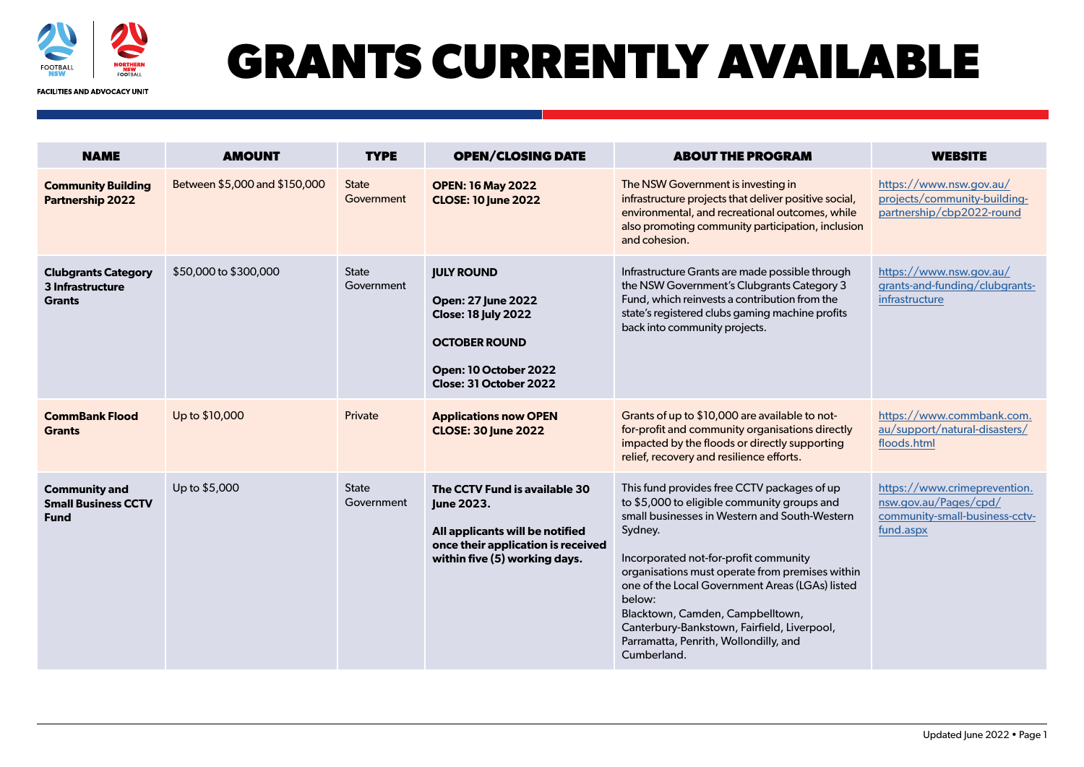

## **GRANTS CURRENTLY AVAILABLE**

**FACILITIES AND ADVOCACY UNIT** 

| <b>NAME</b>                                                       | <b>AMOUNT</b>                 | <b>TYPE</b>                | <b>OPEN/CLOSING DATE</b>                                                                                                                                | <b>ABOUT THE PROGRAM</b>                                                                                                                                                                                                                                                                                                                                                                                                                                   | <b>WEBSITE</b>                                                                                       |
|-------------------------------------------------------------------|-------------------------------|----------------------------|---------------------------------------------------------------------------------------------------------------------------------------------------------|------------------------------------------------------------------------------------------------------------------------------------------------------------------------------------------------------------------------------------------------------------------------------------------------------------------------------------------------------------------------------------------------------------------------------------------------------------|------------------------------------------------------------------------------------------------------|
| <b>Community Building</b><br><b>Partnership 2022</b>              | Between \$5,000 and \$150,000 | <b>State</b><br>Government | <b>OPEN: 16 May 2022</b><br><b>CLOSE: 10 June 2022</b>                                                                                                  | The NSW Government is investing in<br>infrastructure projects that deliver positive social,<br>environmental, and recreational outcomes, while<br>also promoting community participation, inclusion<br>and cohesion.                                                                                                                                                                                                                                       | https://www.nsw.gov.au/<br>projects/community-building-<br>partnership/cbp2022-round                 |
| <b>Clubgrants Category</b><br>3 Infrastructure<br><b>Grants</b>   | \$50,000 to \$300,000         | <b>State</b><br>Government | <b>JULY ROUND</b><br><b>Open: 27 June 2022</b><br><b>Close: 18 July 2022</b><br><b>OCTOBER ROUND</b><br>Open: 10 October 2022<br>Close: 31 October 2022 | Infrastructure Grants are made possible through<br>the NSW Government's Clubgrants Category 3<br>Fund, which reinvests a contribution from the<br>state's registered clubs gaming machine profits<br>back into community projects.                                                                                                                                                                                                                         | https://www.nsw.gov.au/<br>grants-and-funding/clubgrants-<br>infrastructure                          |
| <b>CommBank Flood</b><br><b>Grants</b>                            | Up to \$10,000                | Private                    | <b>Applications now OPEN</b><br><b>CLOSE: 30 June 2022</b>                                                                                              | Grants of up to \$10,000 are available to not-<br>for-profit and community organisations directly<br>impacted by the floods or directly supporting<br>relief, recovery and resilience efforts.                                                                                                                                                                                                                                                             | https://www.commbank.com.<br>au/support/natural-disasters/<br>floods.html                            |
| <b>Community and</b><br><b>Small Business CCTV</b><br><b>Fund</b> | Up to \$5,000                 | <b>State</b><br>Government | The CCTV Fund is available 30<br>June 2023.<br>All applicants will be notified<br>once their application is received<br>within five (5) working days.   | This fund provides free CCTV packages of up<br>to \$5,000 to eligible community groups and<br>small businesses in Western and South-Western<br>Sydney.<br>Incorporated not-for-profit community<br>organisations must operate from premises within<br>one of the Local Government Areas (LGAs) listed<br>below:<br>Blacktown, Camden, Campbelltown,<br>Canterbury-Bankstown, Fairfield, Liverpool,<br>Parramatta, Penrith, Wollondilly, and<br>Cumberland. | https://www.crimeprevention.<br>nsw.gov.au/Pages/cpd/<br>community-small-business-ccty-<br>fund.aspx |